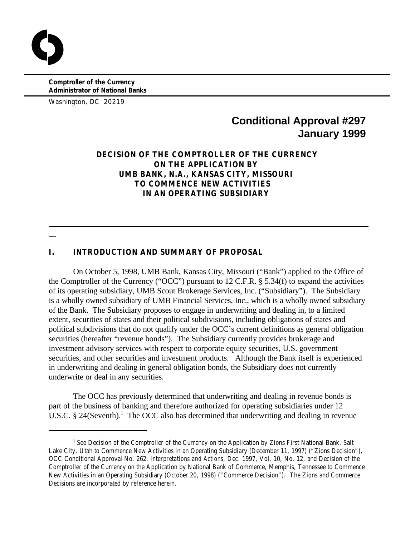**Comptroller of the Currency Administrator of National Banks**

Washington, DC 20219

  $\overline{a}$ 

# **Conditional Approval #297 January 1999**

# **DECISION OF THE COMPTROLLER OF THE CURRENCY ON THE APPLICATION BY UMB BANK, N.A., KANSAS CITY, MISSOURI TO COMMENCE NEW ACTIVITIES IN AN OPERATING SUBSIDIARY**

# **I. INTRODUCTION AND SUMMARY OF PROPOSAL**

On October 5, 1998, UMB Bank, Kansas City, Missouri ("Bank") applied to the Office of the Comptroller of the Currency ("OCC") pursuant to 12 C.F.R. § 5.34(f) to expand the activities of its operating subsidiary, UMB Scout Brokerage Services, Inc. ("Subsidiary"). The Subsidiary is a wholly owned subsidiary of UMB Financial Services, Inc., which is a wholly owned subsidiary of the Bank. The Subsidiary proposes to engage in underwriting and dealing in, to a limited extent, securities of states and their political subdivisions, including obligations of states and political subdivisions that do not qualify under the OCC's current definitions as general obligation securities (hereafter "revenue bonds"). The Subsidiary currently provides brokerage and investment advisory services with respect to corporate equity securities, U.S. government securities, and other securities and investment products. Although the Bank itself is experienced in underwriting and dealing in general obligation bonds, the Subsidiary does not currently underwrite or deal in any securities.

The OCC has previously determined that underwriting and dealing in revenue bonds is part of the business of banking and therefore authorized for operating subsidiaries under 12 U.S.C.  $\S$  24(Seventh).<sup>1</sup> The OCC also has determined that underwriting and dealing in revenue

<sup>&</sup>lt;sup>1</sup> See Decision of the Comptroller of the Currency on the Application by Zions First National Bank, Salt Lake City, Utah to Commence New Activities in an Operating Subsidiary (December 11, 1997) ("Zions Decision"), OCC Conditional Approval No. 262*, Interpretations and Actions*, Dec. 1997, Vol. 10, No. 12, and Decision of the Comptroller of the Currency on the Application by National Bank of Commerce, Memphis, Tennessee to Commence New Activities in an Operating Subsidiary (October 20, 1998) ("Commerce Decision"). The Zions and Commerce Decisions are incorporated by reference herein.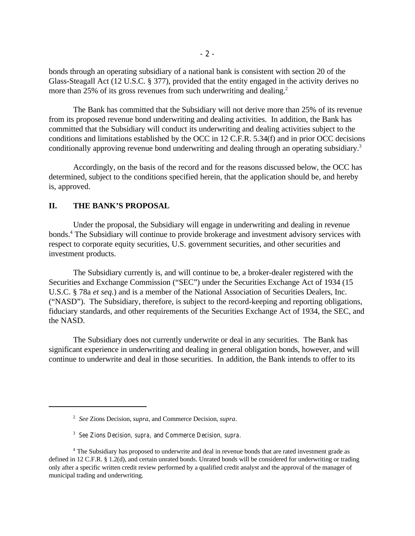bonds through an operating subsidiary of a national bank is consistent with section 20 of the Glass-Steagall Act (12 U.S.C. § 377), provided that the entity engaged in the activity derives no more than 25% of its gross revenues from such underwriting and dealing.<sup>2</sup>

The Bank has committed that the Subsidiary will not derive more than 25% of its revenue from its proposed revenue bond underwriting and dealing activities. In addition, the Bank has committed that the Subsidiary will conduct its underwriting and dealing activities subject to the conditions and limitations established by the OCC in 12 C.F.R. 5.34(f) and in prior OCC decisions conditionally approving revenue bond underwriting and dealing through an operating subsidiary.<sup>3</sup>

Accordingly, on the basis of the record and for the reasons discussed below, the OCC has determined, subject to the conditions specified herein, that the application should be, and hereby is, approved.

# **II. THE BANK'S PROPOSAL**

Under the proposal, the Subsidiary will engage in underwriting and dealing in revenue bonds.<sup>4</sup> The Subsidiary will continue to provide brokerage and investment advisory services with respect to corporate equity securities, U.S. government securities, and other securities and investment products.

The Subsidiary currently is, and will continue to be, a broker-dealer registered with the Securities and Exchange Commission ("SEC") under the Securities Exchange Act of 1934 (15 U.S.C. § 78a *et seq.*) and is a member of the National Association of Securities Dealers, Inc. ("NASD"). The Subsidiary, therefore, is subject to the record-keeping and reporting obligations, fiduciary standards, and other requirements of the Securities Exchange Act of 1934, the SEC, and the NASD.

The Subsidiary does not currently underwrite or deal in any securities. The Bank has significant experience in underwriting and dealing in general obligation bonds, however, and will continue to underwrite and deal in those securities. In addition, the Bank intends to offer to its

*See* Zions Decision, *supra*, and Commerce Decision, *supra*. 2

*See* Zions Decision, *supra*, and Commerce Decision, *supra*. 3

<sup>&</sup>lt;sup>4</sup> The Subsidiary has proposed to underwrite and deal in revenue bonds that are rated investment grade as defined in 12 C.F.R. § 1.2(d), and certain unrated bonds. Unrated bonds will be considered for underwriting or trading only after a specific written credit review performed by a qualified credit analyst and the approval of the manager of municipal trading and underwriting.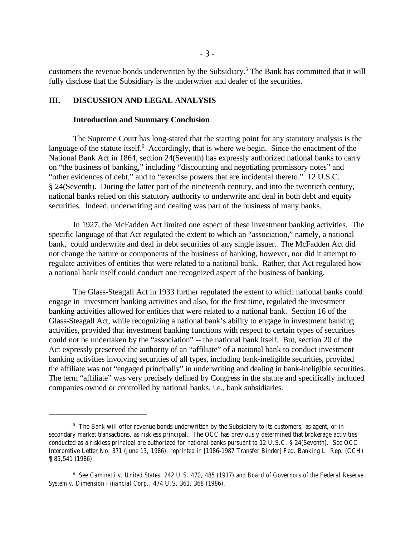customers the revenue bonds underwritten by the Subsidiary.<sup>5</sup> The Bank has committed that it will fully disclose that the Subsidiary is the underwriter and dealer of the securities.

## **III. DISCUSSION AND LEGAL ANALYSIS**

#### **Introduction and Summary Conclusion**

The Supreme Court has long-stated that the starting point for any statutory analysis is the language of the statute itself. Accordingly, that is where we begin. Since the enactment of the National Bank Act in 1864, section 24(Seventh) has expressly authorized national banks to carry on "the business of banking," including "discounting and negotiating promissory notes" and "other evidences of debt," and to "exercise powers that are incidental thereto." 12 U.S.C. § 24(Seventh). During the latter part of the nineteenth century, and into the twentieth century, national banks relied on this statutory authority to underwrite and deal in both debt and equity securities. Indeed, underwriting and dealing was part of the business of many banks.

In 1927, the McFadden Act limited one aspect of these investment banking activities. The specific language of that Act regulated the extent to which an "association," namely, a national bank, could underwrite and deal in debt securities of any single issuer. The McFadden Act did not change the nature or components of the business of banking, however, nor did it attempt to regulate activities of entities that were related to a national bank. Rather, that Act regulated how a national bank itself could conduct one recognized aspect of the business of banking.

The Glass-Steagall Act in 1933 further regulated the extent to which national banks could engage in investment banking activities and also, for the first time, regulated the investment banking activities allowed for entities that were related to a national bank. Section 16 of the Glass-Steagall Act, while recognizing a national bank's ability to engage in investment banking activities, provided that investment banking functions with respect to certain types of securities could not be undertaken by the "association" -- the national bank itself. But, section 20 of the Act expressly preserved the authority of an "affiliate" of a national bank to conduct investment banking activities involving securities of all types, including bank-ineligible securities, provided the affiliate was not "engaged principally" in underwriting and dealing in bank-ineligible securities. The term "affiliate" was very precisely defined by Congress in the statute and specifically included companies owned or controlled by national banks, i.e., bank subsidiaries.

 $5$  The Bank will offer revenue bonds underwritten by the Subsidiary to its customers, as agent, or in secondary market transactions, as riskless principal. The OCC has previously determined that brokerage activities conducted as a riskless principal are authorized for national banks pursuant to 12 U.S.C. § 24(Seventh). See OCC Interpretive Letter No. 371 (June 13, 1986), *reprinted in* [1986-1987 Transfer Binder] Fed. Banking L. Rep. (CCH) ¶ 85,541 (1986).

*See Caminetti v. United States*, 242 U.S. 470, 485 (1917) and *Board of Governors of the Federal Reserve* <sup>6</sup> *System v. Dimension Financial Corp*., 474 U.S. 361, 368 (1986).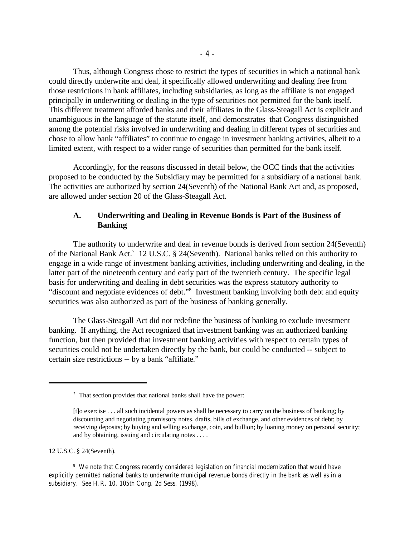Thus, although Congress chose to restrict the types of securities in which a national bank could directly underwrite and deal, it specifically allowed underwriting and dealing free from those restrictions in bank affiliates, including subsidiaries, as long as the affiliate is not engaged principally in underwriting or dealing in the type of securities not permitted for the bank itself. This different treatment afforded banks and their affiliates in the Glass-Steagall Act is explicit and unambiguous in the language of the statute itself, and demonstrates that Congress distinguished among the potential risks involved in underwriting and dealing in different types of securities and chose to allow bank "affiliates" to continue to engage in investment banking activities, albeit to a limited extent, with respect to a wider range of securities than permitted for the bank itself.

Accordingly, for the reasons discussed in detail below, the OCC finds that the activities proposed to be conducted by the Subsidiary may be permitted for a subsidiary of a national bank. The activities are authorized by section 24(Seventh) of the National Bank Act and, as proposed, are allowed under section 20 of the Glass-Steagall Act.

# **A. Underwriting and Dealing in Revenue Bonds is Part of the Business of Banking**

The authority to underwrite and deal in revenue bonds is derived from section 24(Seventh) of the National Bank Act.<sup>7</sup> 12 U.S.C. § 24(Seventh). National banks relied on this authority to engage in a wide range of investment banking activities, including underwriting and dealing, in the latter part of the nineteenth century and early part of the twentieth century. The specific legal basis for underwriting and dealing in debt securities was the express statutory authority to "discount and negotiate evidences of debt."<sup>8</sup> Investment banking involving both debt and equity securities was also authorized as part of the business of banking generally.

The Glass-Steagall Act did not redefine the business of banking to exclude investment banking. If anything, the Act recognized that investment banking was an authorized banking function, but then provided that investment banking activities with respect to certain types of securities could not be undertaken directly by the bank, but could be conducted -- subject to certain size restrictions -- by a bank "affiliate."

12 U.S.C. § 24(Seventh).

<sup>8</sup> We note that Congress recently considered legislation on financial modernization that would have explicitly permitted national banks to underwrite municipal revenue bonds directly in the bank as well as in a subsidiary. *See* H.R. 10, 105th Cong. 2d Sess. (1998).

 $\frac{7}{1}$  That section provides that national banks shall have the power:

<sup>[</sup>t]o exercise . . . all such incidental powers as shall be necessary to carry on the business of banking; by discounting and negotiating promissory notes, drafts, bills of exchange, and other evidences of debt; by receiving deposits; by buying and selling exchange, coin, and bullion; by loaning money on personal security; and by obtaining, issuing and circulating notes . . . .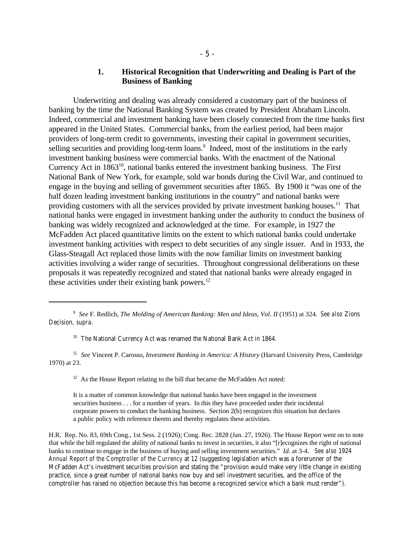## **1. Historical Recognition that Underwriting and Dealing is Part of the Business of Banking**

Underwriting and dealing was already considered a customary part of the business of banking by the time the National Banking System was created by President Abraham Lincoln. Indeed, commercial and investment banking have been closely connected from the time banks first appeared in the United States. Commercial banks, from the earliest period, had been major providers of long-term credit to governments, investing their capital in government securities, selling securities and providing long-term loans.<sup>9</sup> Indeed, most of the institutions in the early investment banking business were commercial banks. With the enactment of the National Currency Act in  $1863^{10}$ , national banks entered the investment banking business. The First National Bank of New York, for example, sold war bonds during the Civil War, and continued to engage in the buying and selling of government securities after 1865. By 1900 it "was one of the half dozen leading investment banking institutions in the country" and national banks were providing customers with all the services provided by private investment banking houses.<sup>11</sup> That national banks were engaged in investment banking under the authority to conduct the business of banking was widely recognized and acknowledged at the time. For example, in 1927 the McFadden Act placed quantitative limits on the extent to which national banks could undertake investment banking activities with respect to debt securities of any single issuer. And in 1933, the Glass-Steagall Act replaced those limits with the now familiar limits on investment banking activities involving a wider range of securities. Throughout congressional deliberations on these proposals it was repeatedly recognized and stated that national banks were already engaged in these activities under their existing bank powers. $^{12}$ 

<sup>11</sup> See Vincent P. Carosso, *Investment Banking in America: A History* (Harvard University Press, Cambridge 1970) at 23.

 $12$  As the House Report relating to the bill that became the McFadden Act noted:

It is a matter of common knowledge that national banks have been engaged in the investment securities business . . . for a number of years. In this they have proceeded under their incidental corporate powers to conduct the banking business. Section 2(b) recognizes this situation but declares a public policy with reference thereto and thereby regulates these activities.

H.R. Rep. No. 83, 69th Cong., 1st Sess. 2 (1926); Cong. Rec. 2828 (Jan. 27, 1926). The House Report went on to note that while the bill regulated the ability of national banks to invest in securities, it also "[r]ecognizes the right of national banks to continue to engage in the business of buying and selling investment securities." *Id*. at 3-4. *See also* 1924 *Annual Report of the Comptroller of the Currency* at 12 (suggesting legislation which was a forerunner of the McFadden Act's investment securities provision and stating the "provision would make very little change in existing practice, since a great number of national banks now buy and sell investment securities, and the office of the comptroller has raised no objection because this has become a recognized service which a bank must render").

<sup>&</sup>lt;sup>9</sup> See F. Redlich, *The Molding of American Banking: Men and Ideas, Vol. II* (1951) at 324. *See also* Zions Decision, *supra*.

<sup>&</sup>lt;sup>10</sup> The National Currency Act was renamed the National Bank Act in 1864.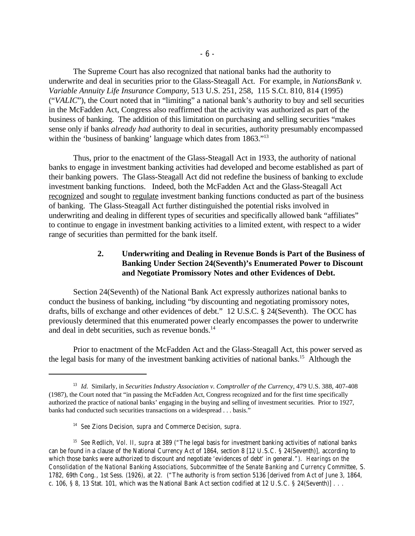The Supreme Court has also recognized that national banks had the authority to underwrite and deal in securities prior to the Glass-Steagall Act. For example, in *NationsBank v. Variable Annuity Life Insurance Company*, 513 U.S. 251, 258, 115 S.Ct. 810, 814 (1995) ("*VALIC*"), the Court noted that in "limiting" a national bank's authority to buy and sell securities in the McFadden Act, Congress also reaffirmed that the activity was authorized as part of the business of banking. The addition of this limitation on purchasing and selling securities "makes sense only if banks *already had* authority to deal in securities, authority presumably encompassed within the 'business of banking' language which dates from 1863."<sup>13</sup>

Thus, prior to the enactment of the Glass-Steagall Act in 1933, the authority of national banks to engage in investment banking activities had developed and become established as part of their banking powers. The Glass-Steagall Act did not redefine the business of banking to exclude investment banking functions. Indeed, both the McFadden Act and the Glass-Steagall Act recognized and sought to regulate investment banking functions conducted as part of the business of banking. The Glass-Steagall Act further distinguished the potential risks involved in underwriting and dealing in different types of securities and specifically allowed bank "affiliates" to continue to engage in investment banking activities to a limited extent, with respect to a wider range of securities than permitted for the bank itself.

# **2. Underwriting and Dealing in Revenue Bonds is Part of the Business of Banking Under Section 24(Seventh)'s Enumerated Power to Discount and Negotiate Promissory Notes and other Evidences of Debt.**

Section 24(Seventh) of the National Bank Act expressly authorizes national banks to conduct the business of banking, including "by discounting and negotiating promissory notes, drafts, bills of exchange and other evidences of debt." 12 U.S.C. § 24(Seventh). The OCC has previously determined that this enumerated power clearly encompasses the power to underwrite and deal in debt securities, such as revenue bonds.<sup>14</sup>

Prior to enactment of the McFadden Act and the Glass-Steagall Act, this power served as the legal basis for many of the investment banking activities of national banks.<sup>15</sup> Although the

<sup>&</sup>lt;sup>13</sup> Id. Similarly, in *Securities Industry Association v. Comptroller of the Currency*, 479 U.S. 388, 407-408 (1987), the Court noted that "in passing the McFadden Act, Congress recognized and for the first time specifically authorized the practice of national banks' engaging in the buying and selling of investment securities. Prior to 1927, banks had conducted such securities transactions on a widespread . . . basis."

*See* Zions Decision, *supra and* Commerce Decision, *supra*. 14

<sup>&</sup>lt;sup>15</sup> See Redlich, *Vol. II, supra* at 389 ("The legal basis for investment banking activities of national banks can be found in a clause of the National Currency Act of 1864, section 8 [12 U.S.C. § 24(Seventh)], according to which those banks were authorized to discount and negotiate 'evidences of debt' in general."). *Hearings on the Consolidation of the National Banking Associations, Subcommittee of the Senate Banking and Currency Committee*, S. 1782, 69th Cong., 1st Sess. (1926), at 22. ("The authority is from section 5136 [derived from Act of June 3, 1864, c. 106, § 8, 13 Stat. 101, which was the National Bank Act section codified at 12 U.S.C. § 24(Seventh)] . . .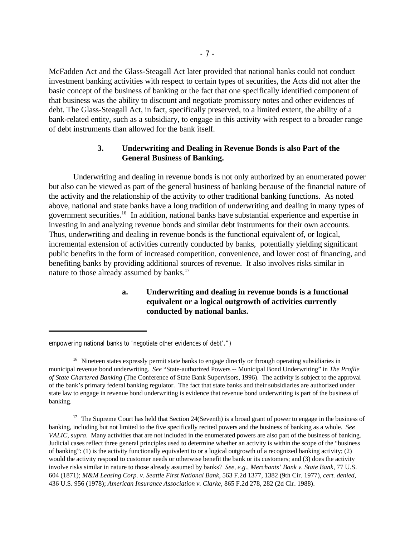McFadden Act and the Glass-Steagall Act later provided that national banks could not conduct investment banking activities with respect to certain types of securities, the Acts did not alter the basic concept of the business of banking or the fact that one specifically identified component of that business was the ability to discount and negotiate promissory notes and other evidences of debt. The Glass-Steagall Act, in fact, specifically preserved, to a limited extent, the ability of a bank-related entity, such as a subsidiary, to engage in this activity with respect to a broader range of debt instruments than allowed for the bank itself.

# **3. Underwriting and Dealing in Revenue Bonds is also Part of the General Business of Banking.**

Underwriting and dealing in revenue bonds is not only authorized by an enumerated power but also can be viewed as part of the general business of banking because of the financial nature of the activity and the relationship of the activity to other traditional banking functions. As noted above, national and state banks have a long tradition of underwriting and dealing in many types of government securities.<sup>16</sup> In addition, national banks have substantial experience and expertise in investing in and analyzing revenue bonds and similar debt instruments for their own accounts. Thus, underwriting and dealing in revenue bonds is the functional equivalent of, or logical, incremental extension of activities currently conducted by banks, potentially yielding significant public benefits in the form of increased competition, convenience, and lower cost of financing, and benefiting banks by providing additional sources of revenue. It also involves risks similar in nature to those already assumed by banks.<sup>17</sup>

# **a. Underwriting and dealing in revenue bonds is a functional equivalent or a logical outgrowth of activities currently conducted by national banks.**

empowering national banks to 'negotiate other evidences of debt'.")

<sup>&</sup>lt;sup>16</sup> Nineteen states expressly permit state banks to engage directly or through operating subsidiaries in municipal revenue bond underwriting. *See* "State-authorized Powers -- Municipal Bond Underwriting" in *The Profile of State Chartered Banking* (The Conference of State Bank Supervisors, 1996). The activity is subject to the approval of the bank's primary federal banking regulator. The fact that state banks and their subsidiaries are authorized under state law to engage in revenue bond underwriting is evidence that revenue bond underwriting is part of the business of banking.

 $17$  The Supreme Court has held that Section 24(Seventh) is a broad grant of power to engage in the business of banking, including but not limited to the five specifically recited powers and the business of banking as a whole. *See VALIC, supra*. Many activities that are not included in the enumerated powers are also part of the business of banking. Judicial cases reflect three general principles used to determine whether an activity is within the scope of the "business of banking": (1) is the activity functionally equivalent to or a logical outgrowth of a recognized banking activity; (2) would the activity respond to customer needs or otherwise benefit the bank or its customers; and (3) does the activity involve risks similar in nature to those already assumed by banks? *See, e.g.*, *Merchants' Bank v. State Bank*, 77 U.S. 604 (1871); *M&M Leasing Corp. v. Seattle First National Bank*, 563 F.2d 1377, 1382 (9th Cir. 1977), *cert. denied*, 436 U.S. 956 (1978); *American Insurance Association v. Clarke*, 865 F.2d 278, 282 (2d Cir. 1988).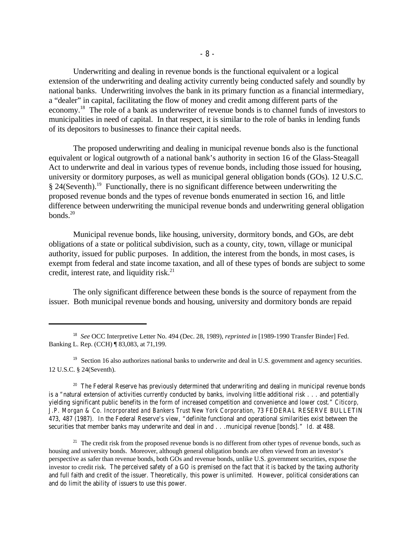Underwriting and dealing in revenue bonds is the functional equivalent or a logical extension of the underwriting and dealing activity currently being conducted safely and soundly by national banks. Underwriting involves the bank in its primary function as a financial intermediary, a "dealer" in capital, facilitating the flow of money and credit among different parts of the economy.<sup>18</sup> The role of a bank as underwriter of revenue bonds is to channel funds of investors to municipalities in need of capital. In that respect, it is similar to the role of banks in lending funds of its depositors to businesses to finance their capital needs.

The proposed underwriting and dealing in municipal revenue bonds also is the functional equivalent or logical outgrowth of a national bank's authority in section 16 of the Glass-Steagall Act to underwrite and deal in various types of revenue bonds, including those issued for housing, university or dormitory purposes, as well as municipal general obligation bonds (GOs). 12 U.S.C.  $§$  24(Seventh).<sup>19</sup> Functionally, there is no significant difference between underwriting the proposed revenue bonds and the types of revenue bonds enumerated in section 16, and little difference between underwriting the municipal revenue bonds and underwriting general obligation bonds. 20

Municipal revenue bonds, like housing, university, dormitory bonds, and GOs, are debt obligations of a state or political subdivision, such as a county, city, town, village or municipal authority, issued for public purposes. In addition, the interest from the bonds, in most cases, is exempt from federal and state income taxation, and all of these types of bonds are subject to some credit, interest rate, and liquidity risk.<sup>21</sup>

The only significant difference between these bonds is the source of repayment from the issuer. Both municipal revenue bonds and housing, university and dormitory bonds are repaid

<sup>19</sup> Section 16 also authorizes national banks to underwrite and deal in U.S. government and agency securities. 12 U.S.C. § 24(Seventh).

 $20$  The Federal Reserve has previously determined that underwriting and dealing in municipal revenue bonds is a "natural extension of activities currently conducted by banks, involving little additional risk . . . and potentially yielding significant public benefits in the form of increased competition and convenience and lower cost." *Citicorp, J.P. Morgan & Co. Incorporated and Bankers Trust New York Corporation*, 73 FEDERAL RESERVE BULLETIN 473, 487 (1987). In the Federal Reserve's view, "definite functional and operational similarities exist between the securities that member banks may underwrite and deal in and . . .municipal revenue [bonds]." *Id*. at 488.

 $21$  The credit risk from the proposed revenue bonds is no different from other types of revenue bonds, such as housing and university bonds. Moreover, although general obligation bonds are often viewed from an investor's perspective as safer than revenue bonds, both GOs and revenue bonds, unlike U.S. government securities, expose the investor to credit risk. The perceived safety of a GO is premised on the fact that it is backed by the taxing authority and full faith and credit of the issuer. Theoretically, this power is unlimited. However, political considerations can and do limit the ability of issuers to use this power.

<sup>&</sup>lt;sup>18</sup> See OCC Interpretive Letter No. 494 (Dec. 28, 1989), *reprinted in* [1989-1990 Transfer Binder] Fed. Banking L. Rep. (CCH) ¶ 83,083, at 71,199.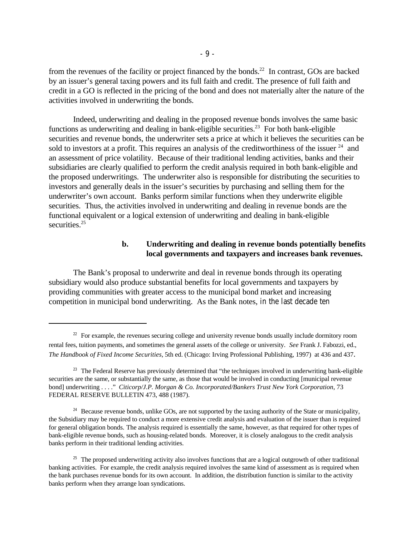from the revenues of the facility or project financed by the bonds.<sup>22</sup> In contrast, GOs are backed by an issuer's general taxing powers and its full faith and credit. The presence of full faith and credit in a GO is reflected in the pricing of the bond and does not materially alter the nature of the activities involved in underwriting the bonds.

Indeed, underwriting and dealing in the proposed revenue bonds involves the same basic functions as underwriting and dealing in bank-eligible securities.<sup>23</sup> For both bank-eligible securities and revenue bonds, the underwriter sets a price at which it believes the securities can be sold to investors at a profit. This requires an analysis of the creditworthiness of the issuer  $24$  and an assessment of price volatility. Because of their traditional lending activities, banks and their subsidiaries are clearly qualified to perform the credit analysis required in both bank-eligible and the proposed underwritings. The underwriter also is responsible for distributing the securities to investors and generally deals in the issuer's securities by purchasing and selling them for the underwriter's own account. Banks perform similar functions when they underwrite eligible securities. Thus, the activities involved in underwriting and dealing in revenue bonds are the functional equivalent or a logical extension of underwriting and dealing in bank-eligible securities.<sup>25</sup>

## **b. Underwriting and dealing in revenue bonds potentially benefits local governments and taxpayers and increases bank revenues.**

The Bank's proposal to underwrite and deal in revenue bonds through its operating subsidiary would also produce substantial benefits for local governments and taxpayers by providing communities with greater access to the municipal bond market and increasing competition in municipal bond underwriting. As the Bank notes, in the last decade ten

<sup>&</sup>lt;sup>22</sup> For example, the revenues securing college and university revenue bonds usually include dormitory room rental fees, tuition payments, and sometimes the general assets of the college or university. *See* Frank J. Fabozzi, ed., *The Handbook of Fixed Income Securities*, 5th ed. (Chicago: Irving Professional Publishing, 1997) at 436 and 437.

<sup>&</sup>lt;sup>23</sup> The Federal Reserve has previously determined that "the techniques involved in underwriting bank-eligible securities are the same, or substantially the same, as those that would be involved in conducting [municipal revenue bond] underwriting . . . ." *Citicorp/J.P. Morgan & Co. Incorporated/Bankers Trust New York Corporation*, 73 FEDERAL RESERVE BULLETIN 473, 488 (1987).

<sup>&</sup>lt;sup>24</sup> Because revenue bonds, unlike GOs, are not supported by the taxing authority of the State or municipality, the Subsidiary may be required to conduct a more extensive credit analysis and evaluation of the issuer than is required for general obligation bonds. The analysis required is essentially the same, however, as that required for other types of bank-eligible revenue bonds, such as housing-related bonds. Moreover, it is closely analogous to the credit analysis banks perform in their traditional lending activities.

 $25$  The proposed underwriting activity also involves functions that are a logical outgrowth of other traditional banking activities. For example, the credit analysis required involves the same kind of assessment as is required when the bank purchases revenue bonds for its own account. In addition, the distribution function is similar to the activity banks perform when they arrange loan syndications.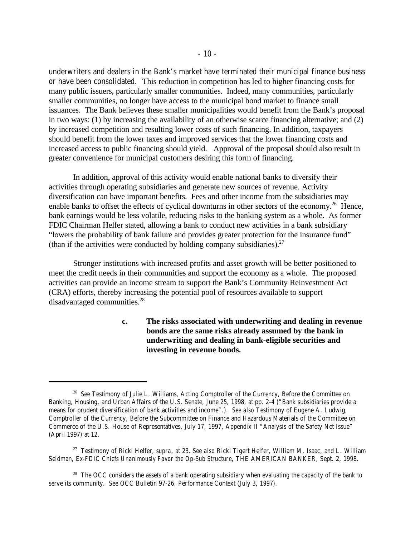underwriters and dealers in the Bank's market have terminated their municipal finance business or have been consolidated. This reduction in competition has led to higher financing costs for many public issuers, particularly smaller communities. Indeed, many communities, particularly smaller communities, no longer have access to the municipal bond market to finance small issuances. The Bank believes these smaller municipalities would benefit from the Bank's proposal in two ways: (1) by increasing the availability of an otherwise scarce financing alternative; and (2) by increased competition and resulting lower costs of such financing. In addition, taxpayers should benefit from the lower taxes and improved services that the lower financing costs and increased access to public financing should yield. Approval of the proposal should also result in greater convenience for municipal customers desiring this form of financing.

In addition, approval of this activity would enable national banks to diversify their activities through operating subsidiaries and generate new sources of revenue. Activity diversification can have important benefits. Fees and other income from the subsidiaries may enable banks to offset the effects of cyclical downturns in other sectors of the economy.<sup>26</sup> Hence, bank earnings would be less volatile, reducing risks to the banking system as a whole. As former FDIC Chairman Helfer stated, allowing a bank to conduct new activities in a bank subsidiary "lowers the probability of bank failure and provides greater protection for the insurance fund" (than if the activities were conducted by holding company subsidiaries).<sup>27</sup>

Stronger institutions with increased profits and asset growth will be better positioned to meet the credit needs in their communities and support the economy as a whole. The proposed activities can provide an income stream to support the Bank's Community Reinvestment Act (CRA) efforts, thereby increasing the potential pool of resources available to support disadvantaged communities.<sup>28</sup>

> **c. The risks associated with underwriting and dealing in revenue bonds are the same risks already assumed by the bank in underwriting and dealing in bank-eligible securities and investing in revenue bonds.**

<sup>&</sup>lt;sup>26</sup> See Testimony of Julie L. Williams, Acting Comptroller of the Currency, Before the Committee on Banking, Housing, and Urban Affairs of the U.S. Senate, June 25, 1998, at pp. 2-4 ("Bank subsidiaries provide a means for prudent diversification of bank activities and income".). *See also* Testimony of Eugene A. Ludwig, Comptroller of the Currency, Before the Subcommittee on Finance and Hazardous Materials of the Committee on Commerce of the U.S. House of Representatives, July 17, 1997, Appendix II "Analysis of the Safety Net Issue" (April 1997) at 12.

Testimony of Ricki Helfer, *supra*, at 23. *See also* Ricki Tigert Helfer, William M. Isaac, and L. William <sup>27</sup> Seidman, *Ex-FDIC Chiefs Unanimously Favor the Op-Sub Structure*, THE AMERICAN BANKER, Sept. 2, 1998.

<sup>&</sup>lt;sup>28</sup> The OCC considers the assets of a bank operating subsidiary when evaluating the capacity of the bank to serve its community. *See* OCC Bulletin 97-26, Performance Context (July 3, 1997).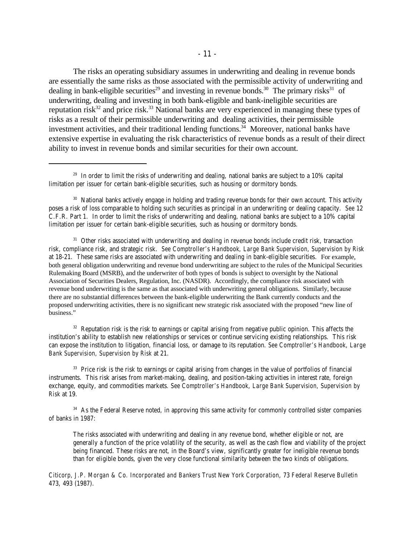The risks an operating subsidiary assumes in underwriting and dealing in revenue bonds are essentially the same risks as those associated with the permissible activity of underwriting and dealing in bank-eligible securities<sup>29</sup> and investing in revenue bonds.<sup>30</sup> The primary risks<sup>31</sup> of underwriting, dealing and investing in both bank-eligible and bank-ineligible securities are reputation risk<sup>32</sup> and price risk.<sup>33</sup> National banks are very experienced in managing these types of risks as a result of their permissible underwriting and dealing activities, their permissible investment activities, and their traditional lending functions.<sup>34</sup> Moreover, national banks have extensive expertise in evaluating the risk characteristics of revenue bonds as a result of their direct ability to invest in revenue bonds and similar securities for their own account.

<sup>31</sup> Other risks associated with underwriting and dealing in revenue bonds include credit risk, transaction risk, compliance risk, and strategic risk. *See Comptroller's Handbook, Large Bank Supervision, Supervision by Risk* at 18-21. These same risks are associated with underwriting and dealing in bank-eligible securities. For example, both general obligation underwriting and revenue bond underwriting are subject to the rules of the Municipal Securities Rulemaking Board (MSRB), and the underwriter of both types of bonds is subject to oversight by the National Association of Securities Dealers, Regulation, Inc. (NASDR). Accordingly, the compliance risk associated with revenue bond underwriting is the same as that associated with underwriting general obligations. Similarly, because there are no substantial differences between the bank-eligible underwriting the Bank currently conducts and the proposed underwriting activities, there is no significant new strategic risk associated with the proposed "new line of business."

 $32$  Reputation risk is the risk to earnings or capital arising from negative public opinion. This affects the institution's ability to establish new relationships or services or continue servicing existing relationships. This risk can expose the institution to litigation, financial loss, or damage to its reputation. *See Comptroller's Handbook*, *Large Bank Supervision, Supervision by Risk* at 21.

<sup>33</sup> Price risk is the risk to earnings or capital arising from changes in the value of portfolios of financial instruments. This risk arises from market-making, dealing, and position-taking activities in interest rate, foreign exchange, equity, and commodities markets. *See Comptroller's Handbook*, *Large Bank Supervision, Supervision by Risk* at 19.

<sup>34</sup> As the Federal Reserve noted, in approving this same activity for commonly controlled sister companies of banks in 1987:

The risks associated with underwriting and dealing in any revenue bond, whether eligible or not, are generally a function of the price volatility of the security, as well as the cash flow and viability of the project being financed. These risks are not, in the Board's view, significantly greater for ineligible revenue bonds than for eligible bonds, given the very close functional similarity between the two kinds of obligations.

*Citicorp, J.P. Morgan & Co. Incorporated and Bankers Trust New York Corporation*, 73 *Federal Reserve Bulletin* 473, 493 (1987).

 $29$  In order to limit the risks of underwriting and dealing, national banks are subject to a 10% capital limitation per issuer for certain bank-eligible securities, such as housing or dormitory bonds.

<sup>&</sup>lt;sup>30</sup> National banks actively engage in holding and trading revenue bonds for their own account. This activity poses a risk of loss comparable to holding such securities as principal in an underwriting or dealing capacity. *See* 12 C.F.R. Part 1. In order to limit the risks of underwriting and dealing, national banks are subject to a 10% capital limitation per issuer for certain bank-eligible securities, such as housing or dormitory bonds.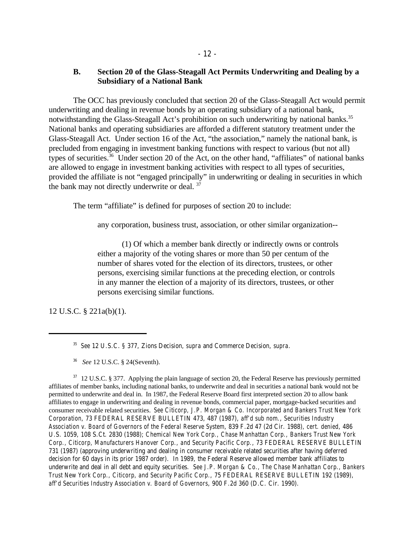The OCC has previously concluded that section 20 of the Glass-Steagall Act would permit underwriting and dealing in revenue bonds by an operating subsidiary of a national bank, notwithstanding the Glass-Steagall Act's prohibition on such underwriting by national banks.<sup>35</sup> National banks and operating subsidiaries are afforded a different statutory treatment under the Glass-Steagall Act. Under section 16 of the Act, "the association," namely the national bank, is precluded from engaging in investment banking functions with respect to various (but not all) types of securities.<sup>36</sup> Under section 20 of the Act, on the other hand, "affiliates" of national banks are allowed to engage in investment banking activities with respect to all types of securities, provided the affiliate is not "engaged principally" in underwriting or dealing in securities in which the bank may not directly underwrite or deal.<sup>37</sup>

The term "affiliate" is defined for purposes of section 20 to include:

any corporation, business trust, association, or other similar organization--

(1) Of which a member bank directly or indirectly owns or controls either a majority of the voting shares or more than 50 per centum of the number of shares voted for the election of its directors, trustees, or other persons, exercising similar functions at the preceding election, or controls in any manner the election of a majority of its directors, trustees, or other persons exercising similar functions.

12 U.S.C. § 221a(b)(1).

 $37$  12 U.S.C. § 377. Applying the plain language of section 20, the Federal Reserve has previously permitted affiliates of member banks, including national banks, to underwrite and deal in securities a national bank would not be permitted to underwrite and deal in. In 1987, the Federal Reserve Board first interpreted section 20 to allow bank affiliates to engage in underwriting and dealing in revenue bonds, commercial paper, mortgage-backed securities and consumer receivable related securities. *See Citicorp, J.P. Morgan & Co. Incorporated and Bankers Trust New York Corporation*, 73 FEDERAL RESERVE BULLETIN 473, 487 (1987), *aff'd sub nom*., *Securities Industry Association v. Board of Governors of the Federal Reserve System*, 839 F.2d 47 (2d Cir. 1988), *cert. denied*, 486 U.S. 1059, 108 S.Ct. 2830 (1988); *Chemical New York Corp., Chase Manhattan Corp., Bankers Trust New York Corp., Citicorp, Manufacturers Hanover Corp., and Security Pacific Corp.*, 73 FEDERAL RESERVE BULLETIN 731 (1987) (approving underwriting and dealing in consumer receivable related securities after having deferred decision for 60 days in its prior 1987 order). In 1989, the Federal Reserve allowed member bank affiliates to underwrite and deal in all debt and equity securities. *See J.P. Morgan & Co., The Chase Manhattan Corp., Bankers Trust New York Corp., Citicorp, and Security Pacific Corp.*, 75 FEDERAL RESERVE BULLETIN 192 (1989), *aff'd Securities Industry Association v. Board of Governors*, 900 F.2d 360 (D.C. Cir. 1990).

*See* 12 U.S.C. § 377, Zions Decision, *supra* and Commerce Decision, *supra*. 35

<sup>&</sup>lt;sup>36</sup> *See* 12 U.S.C. § 24(Seventh).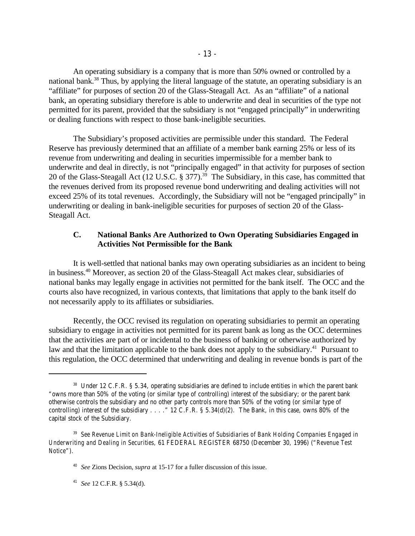An operating subsidiary is a company that is more than 50% owned or controlled by a national bank.<sup>38</sup> Thus, by applying the literal language of the statute, an operating subsidiary is an "affiliate" for purposes of section 20 of the Glass-Steagall Act. As an "affiliate" of a national bank, an operating subsidiary therefore is able to underwrite and deal in securities of the type not permitted for its parent, provided that the subsidiary is not "engaged principally" in underwriting or dealing functions with respect to those bank-ineligible securities.

The Subsidiary's proposed activities are permissible under this standard. The Federal Reserve has previously determined that an affiliate of a member bank earning 25% or less of its revenue from underwriting and dealing in securities impermissible for a member bank to underwrite and deal in directly, is not "principally engaged" in that activity for purposes of section 20 of the Glass-Steagall Act (12 U.S.C.  $\S 377$ ).<sup>39</sup> The Subsidiary, in this case, has committed that the revenues derived from its proposed revenue bond underwriting and dealing activities will not exceed 25% of its total revenues. Accordingly, the Subsidiary will not be "engaged principally" in underwriting or dealing in bank-ineligible securities for purposes of section 20 of the Glass-Steagall Act.

# **C. National Banks Are Authorized to Own Operating Subsidiaries Engaged in Activities Not Permissible for the Bank**

It is well-settled that national banks may own operating subsidiaries as an incident to being in business.<sup>40</sup> Moreover, as section 20 of the Glass-Steagall Act makes clear, subsidiaries of national banks may legally engage in activities not permitted for the bank itself. The OCC and the courts also have recognized, in various contexts, that limitations that apply to the bank itself do not necessarily apply to its affiliates or subsidiaries.

Recently, the OCC revised its regulation on operating subsidiaries to permit an operating subsidiary to engage in activities not permitted for its parent bank as long as the OCC determines that the activities are part of or incidental to the business of banking or otherwise authorized by law and that the limitation applicable to the bank does not apply to the subsidiary.<sup>41</sup> Pursuant to this regulation, the OCC determined that underwriting and dealing in revenue bonds is part of the

 $38$  Under 12 C.F.R. § 5.34, operating subsidiaries are defined to include entities in which the parent bank "owns more than 50% of the voting (or similar type of controlling) interest of the subsidiary; or the parent bank otherwise controls the subsidiary and no other party controls more than 50% of the voting (or similar type of controlling) interest of the subsidiary . . . ." 12 C.F.R. § 5.34(d)(2). The Bank, in this case, owns 80% of the capital stock of the Subsidiary.

*See Revenue Limit on Bank-Ineligible Activities of Subsidiaries of Bank Holding Companies Engaged in* <sup>39</sup> *Underwriting and Dealing in Securities,* 61 FEDERAL REGISTER 68750 (December 30, 1996) ("*Revenue Test Notice*").

<sup>&</sup>lt;sup>40</sup> See Zions Decision, *supra* at 15-17 for a fuller discussion of this issue.

<sup>&</sup>lt;sup>41</sup> *See* 12 C.F.R. § 5.34(d).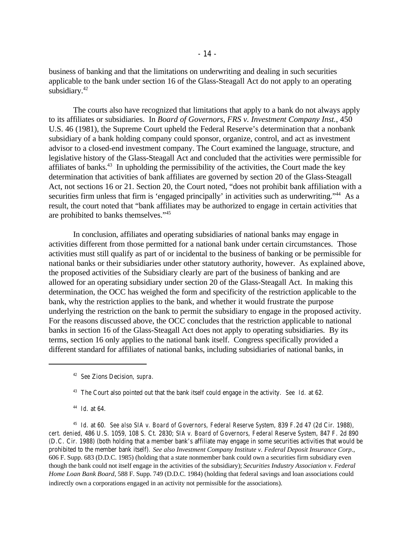business of banking and that the limitations on underwriting and dealing in such securities applicable to the bank under section 16 of the Glass-Steagall Act do not apply to an operating subsidiary.<sup>42</sup>

The courts also have recognized that limitations that apply to a bank do not always apply to its affiliates or subsidiaries. In *Board of Governors, FRS v. Investment Company Inst.*, 450 U.S. 46 (1981), the Supreme Court upheld the Federal Reserve's determination that a nonbank subsidiary of a bank holding company could sponsor, organize, control, and act as investment advisor to a closed-end investment company. The Court examined the language, structure, and legislative history of the Glass-Steagall Act and concluded that the activities were permissible for affiliates of banks. $43$  In upholding the permissibility of the activities, the Court made the key determination that activities of bank affiliates are governed by section 20 of the Glass-Steagall Act, not sections 16 or 21. Section 20, the Court noted, "does not prohibit bank affiliation with a securities firm unless that firm is 'engaged principally' in activities such as underwriting."<sup>44</sup> As a result, the court noted that "bank affiliates may be authorized to engage in certain activities that are prohibited to banks themselves."<sup>45</sup>

In conclusion, affiliates and operating subsidiaries of national banks may engage in activities different from those permitted for a national bank under certain circumstances. Those activities must still qualify as part of or incidental to the business of banking or be permissible for national banks or their subsidiaries under other statutory authority, however. As explained above, the proposed activities of the Subsidiary clearly are part of the business of banking and are allowed for an operating subsidiary under section 20 of the Glass-Steagall Act. In making this determination, the OCC has weighed the form and specificity of the restriction applicable to the bank, why the restriction applies to the bank, and whether it would frustrate the purpose underlying the restriction on the bank to permit the subsidiary to engage in the proposed activity. For the reasons discussed above, the OCC concludes that the restriction applicable to national banks in section 16 of the Glass-Steagall Act does not apply to operating subsidiaries. By its terms, section 16 only applies to the national bank itself. Congress specifically provided a different standard for affiliates of national banks, including subsidiaries of national banks, in

 $^{44}$  *Id.* at 64.

<sup>45</sup> Id. at 60. *See also SIA v. Board of Governors, Federal Reserve System, 839 F.2d 47 (2d Cir. 1988), cert. denied*, 486 U.S. 1059, 108 S. Ct. 2830; *SIA v. Board of Governors, Federal Reserve System*, 847 F. 2d 890 (D.C. Cir. 1988) (both holding that a member bank's affiliate may engage in some securities activities that would be prohibited to the member bank itself). *See also Investment Company Institute v. Federal Deposit Insurance Corp.*, 606 F. Supp. 683 (D.D.C. 1985) (holding that a state nonmember bank could own a securities firm subsidiary even though the bank could not itself engage in the activities of the subsidiary); *Securities Industry Association v. Federal Home Loan Bank Board*, 588 F. Supp. 749 (D.D.C. 1984) (holding that federal savings and loan associations could indirectly own a corporations engaged in an activity not permissible for the associations).

*See* Zions Decision, *supra*. 42

<sup>&</sup>lt;sup>43</sup> The Court also pointed out that the bank itself could engage in the activity. *See Id.* at 62.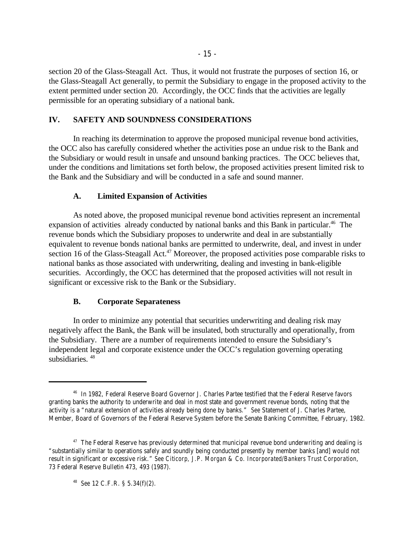section 20 of the Glass-Steagall Act. Thus, it would not frustrate the purposes of section 16, or the Glass-Steagall Act generally, to permit the Subsidiary to engage in the proposed activity to the extent permitted under section 20. Accordingly, the OCC finds that the activities are legally permissible for an operating subsidiary of a national bank.

# **IV. SAFETY AND SOUNDNESS CONSIDERATIONS**

In reaching its determination to approve the proposed municipal revenue bond activities, the OCC also has carefully considered whether the activities pose an undue risk to the Bank and the Subsidiary or would result in unsafe and unsound banking practices. The OCC believes that, under the conditions and limitations set forth below, the proposed activities present limited risk to the Bank and the Subsidiary and will be conducted in a safe and sound manner.

### **A. Limited Expansion of Activities**

As noted above, the proposed municipal revenue bond activities represent an incremental expansion of activities already conducted by national banks and this Bank in particular.<sup>46</sup> The revenue bonds which the Subsidiary proposes to underwrite and deal in are substantially equivalent to revenue bonds national banks are permitted to underwrite, deal, and invest in under section 16 of the Glass-Steagall Act.<sup>47</sup> Moreover, the proposed activities pose comparable risks to national banks as those associated with underwriting, dealing and investing in bank-eligible securities. Accordingly, the OCC has determined that the proposed activities will not result in significant or excessive risk to the Bank or the Subsidiary.

### **B. Corporate Separateness**

In order to minimize any potential that securities underwriting and dealing risk may negatively affect the Bank, the Bank will be insulated, both structurally and operationally, from the Subsidiary. There are a number of requirements intended to ensure the Subsidiary's independent legal and corporate existence under the OCC's regulation governing operating subsidiaries.  $48$ 

<sup>48</sup> *See* 12 C.F.R. § 5.34(f)(2).

<sup>&</sup>lt;sup>46</sup> In 1982, Federal Reserve Board Governor J. Charles Partee testified that the Federal Reserve favors granting banks the authority to underwrite and deal in most state and government revenue bonds, noting that the activity is a "natural extension of activities already being done by banks." *See* Statement of J. Charles Partee, Member, Board of Governors of the Federal Reserve System before the Senate Banking Committee, February, 1982.

 $47$  The Federal Reserve has previously determined that municipal revenue bond underwriting and dealing is "substantially similar to operations safely and soundly being conducted presently by member banks [and] would not result in significant or excessive risk." *See Citicorp, J.P. Morgan & Co. Incorporated/Bankers Trust Corporation*, 73 Federal Reserve Bulletin 473, 493 (1987).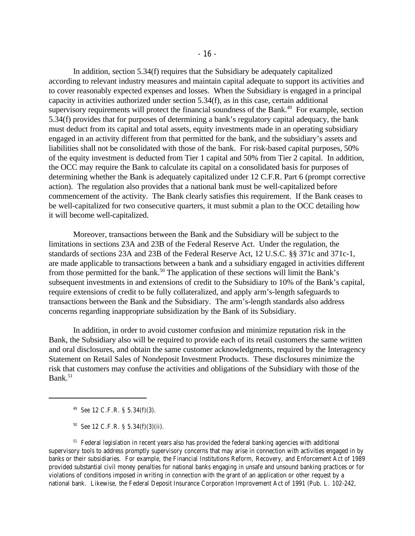In addition, section 5.34(f) requires that the Subsidiary be adequately capitalized according to relevant industry measures and maintain capital adequate to support its activities and to cover reasonably expected expenses and losses. When the Subsidiary is engaged in a principal capacity in activities authorized under section 5.34(f), as in this case, certain additional supervisory requirements will protect the financial soundness of the Bank.<sup> $49$ </sup> For example, section 5.34(f) provides that for purposes of determining a bank's regulatory capital adequacy, the bank must deduct from its capital and total assets, equity investments made in an operating subsidiary engaged in an activity different from that permitted for the bank, and the subsidiary's assets and liabilities shall not be consolidated with those of the bank. For risk-based capital purposes, 50% of the equity investment is deducted from Tier 1 capital and 50% from Tier 2 capital. In addition, the OCC may require the Bank to calculate its capital on a consolidated basis for purposes of determining whether the Bank is adequately capitalized under 12 C.F.R. Part 6 (prompt corrective action). The regulation also provides that a national bank must be well-capitalized before commencement of the activity. The Bank clearly satisfies this requirement. If the Bank ceases to be well-capitalized for two consecutive quarters, it must submit a plan to the OCC detailing how it will become well-capitalized.

Moreover, transactions between the Bank and the Subsidiary will be subject to the limitations in sections 23A and 23B of the Federal Reserve Act. Under the regulation, the standards of sections 23A and 23B of the Federal Reserve Act, 12 U.S.C. §§ 371c and 371c-1, are made applicable to transactions between a bank and a subsidiary engaged in activities different from those permitted for the bank.<sup>50</sup> The application of these sections will limit the Bank's subsequent investments in and extensions of credit to the Subsidiary to 10% of the Bank's capital, require extensions of credit to be fully collateralized, and apply arm's-length safeguards to transactions between the Bank and the Subsidiary. The arm's-length standards also address concerns regarding inappropriate subsidization by the Bank of its Subsidiary.

In addition, in order to avoid customer confusion and minimize reputation risk in the Bank, the Subsidiary also will be required to provide each of its retail customers the same written and oral disclosures, and obtain the same customer acknowledgments, required by the Interagency Statement on Retail Sales of Nondeposit Investment Products. These disclosures minimize the risk that customers may confuse the activities and obligations of the Subsidiary with those of the Bank. $51$ 

<sup>49</sup> *See* 12 C.F.R. § 5.34(f)(3).

 $50$  *See* 12 C.F.R. § 5.34(f)(3)(ii).

 $51$  Federal legislation in recent years also has provided the federal banking agencies with additional supervisory tools to address promptly supervisory concerns that may arise in connection with activities engaged in by banks or their subsidiaries. For example, the Financial Institutions Reform, Recovery, and Enforcement Act of 1989 provided substantial civil money penalties for national banks engaging in unsafe and unsound banking practices or for violations of conditions imposed in writing in connection with the grant of an application or other request by a national bank. Likewise, the Federal Deposit Insurance Corporation Improvement Act of 1991 (Pub. L. 102-242,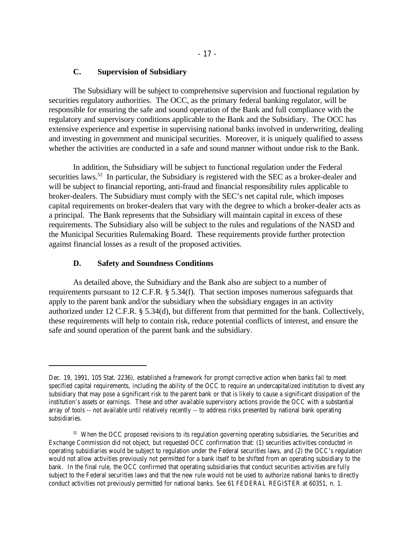## **C. Supervision of Subsidiary**

The Subsidiary will be subject to comprehensive supervision and functional regulation by securities regulatory authorities. The OCC, as the primary federal banking regulator, will be responsible for ensuring the safe and sound operation of the Bank and full compliance with the regulatory and supervisory conditions applicable to the Bank and the Subsidiary. The OCC has extensive experience and expertise in supervising national banks involved in underwriting, dealing and investing in government and municipal securities. Moreover, it is uniquely qualified to assess whether the activities are conducted in a safe and sound manner without undue risk to the Bank.

In addition, the Subsidiary will be subject to functional regulation under the Federal securities laws.<sup>52</sup> In particular, the Subsidiary is registered with the SEC as a broker-dealer and will be subject to financial reporting, anti-fraud and financial responsibility rules applicable to broker-dealers. The Subsidiary must comply with the SEC's net capital rule, which imposes capital requirements on broker-dealers that vary with the degree to which a broker-dealer acts as a principal. The Bank represents that the Subsidiary will maintain capital in excess of these requirements. The Subsidiary also will be subject to the rules and regulations of the NASD and the Municipal Securities Rulemaking Board. These requirements provide further protection against financial losses as a result of the proposed activities.

#### **D. Safety and Soundness Conditions**

As detailed above, the Subsidiary and the Bank also are subject to a number of requirements pursuant to 12 C.F.R. § 5.34(f). That section imposes numerous safeguards that apply to the parent bank and/or the subsidiary when the subsidiary engages in an activity authorized under 12 C.F.R. § 5.34(d), but different from that permitted for the bank. Collectively, these requirements will help to contain risk, reduce potential conflicts of interest, and ensure the safe and sound operation of the parent bank and the subsidiary.

Dec. 19, 1991, 105 Stat. 2236), established a framework for prompt corrective action when banks fail to meet specified capital requirements, including the ability of the OCC to require an undercapitalized institution to divest any subsidiary that may pose a significant risk to the parent bank or that is likely to cause a significant dissipation of the institution's assets or earnings. These and other available supervisory actions provide the OCC with a substantial array of tools -- not available until relatively recently -- to address risks presented by national bank operating subsidiaries.

<sup>&</sup>lt;sup>52</sup> When the OCC proposed revisions to its regulation governing operating subsidiaries, the Securities and Exchange Commission did not object, but requested OCC confirmation that: (1) securities activities conducted in operating subsidiaries would be subject to regulation under the Federal securities laws, and (2) the OCC's regulation would not allow activities previously not permitted for a bank itself to be shifted from an operating subsidiary to the bank. In the final rule, the OCC confirmed that operating subsidiaries that conduct securities activities are fully subject to the Federal securities laws and that the new rule would not be used to authorize national banks to directly conduct activities not previously permitted for national banks. *See* 61 FEDERAL REGISTER at 60351, n. 1.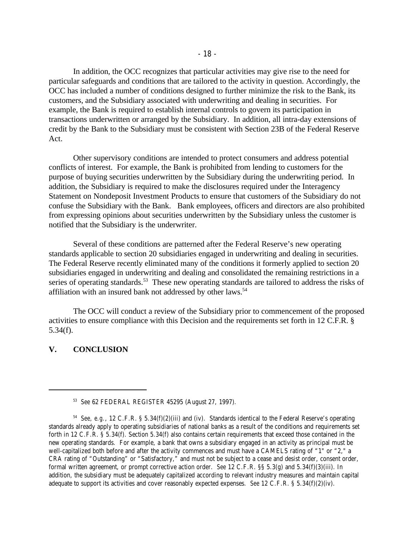In addition, the OCC recognizes that particular activities may give rise to the need for particular safeguards and conditions that are tailored to the activity in question. Accordingly, the OCC has included a number of conditions designed to further minimize the risk to the Bank, its customers, and the Subsidiary associated with underwriting and dealing in securities. For example, the Bank is required to establish internal controls to govern its participation in transactions underwritten or arranged by the Subsidiary. In addition, all intra-day extensions of credit by the Bank to the Subsidiary must be consistent with Section 23B of the Federal Reserve Act.

Other supervisory conditions are intended to protect consumers and address potential conflicts of interest. For example, the Bank is prohibited from lending to customers for the purpose of buying securities underwritten by the Subsidiary during the underwriting period. In addition, the Subsidiary is required to make the disclosures required under the Interagency Statement on Nondeposit Investment Products to ensure that customers of the Subsidiary do not confuse the Subsidiary with the Bank. Bank employees, officers and directors are also prohibited from expressing opinions about securities underwritten by the Subsidiary unless the customer is notified that the Subsidiary is the underwriter.

Several of these conditions are patterned after the Federal Reserve's new operating standards applicable to section 20 subsidiaries engaged in underwriting and dealing in securities. The Federal Reserve recently eliminated many of the conditions it formerly applied to section 20 subsidiaries engaged in underwriting and dealing and consolidated the remaining restrictions in a series of operating standards.<sup>53</sup> These new operating standards are tailored to address the risks of affiliation with an insured bank not addressed by other laws.<sup>54</sup>

The OCC will conduct a review of the Subsidiary prior to commencement of the proposed activities to ensure compliance with this Decision and the requirements set forth in 12 C.F.R. § 5.34(f).

### **V. CONCLUSION**

<sup>&</sup>lt;sup>53</sup> See 62 FEDERAL REGISTER 45295 (August 27, 1997).

<sup>&</sup>lt;sup>54</sup> See, e.g., 12 C.F.R. § 5.34(f)(2)(iii) and (iv). Standards identical to the Federal Reserve's operating standards already apply to operating subsidiaries of national banks as a result of the conditions and requirements set forth in 12 C.F.R. § 5.34(f). Section 5.34(f) also contains certain requirements that exceed those contained in the new operating standards. For example, a bank that owns a subsidiary engaged in an activity as principal must be well-capitalized both before and after the activity commences and must have a CAMELS rating of "1" or "2," a CRA rating of "Outstanding" or "Satisfactory," and must not be subject to a cease and desist order, consent order, formal written agreement, or prompt corrective action order. *See* 12 C.F.R. §§ 5.3(g) and 5.34(f)(3)(iii). In addition, the subsidiary must be adequately capitalized according to relevant industry measures and maintain capital adequate to support its activities and cover reasonably expected expenses. *See* 12 C.F.R. § 5.34(f)(2)(iv).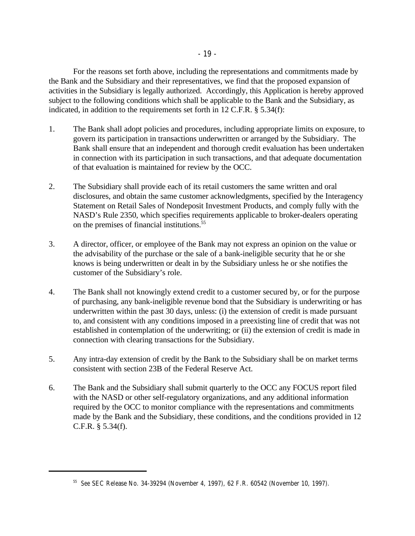For the reasons set forth above, including the representations and commitments made by the Bank and the Subsidiary and their representatives, we find that the proposed expansion of activities in the Subsidiary is legally authorized. Accordingly, this Application is hereby approved subject to the following conditions which shall be applicable to the Bank and the Subsidiary, as indicated, in addition to the requirements set forth in 12 C.F.R. § 5.34(f):

- 1. The Bank shall adopt policies and procedures, including appropriate limits on exposure, to govern its participation in transactions underwritten or arranged by the Subsidiary. The Bank shall ensure that an independent and thorough credit evaluation has been undertaken in connection with its participation in such transactions, and that adequate documentation of that evaluation is maintained for review by the OCC.
- 2. The Subsidiary shall provide each of its retail customers the same written and oral disclosures, and obtain the same customer acknowledgments, specified by the Interagency Statement on Retail Sales of Nondeposit Investment Products, and comply fully with the NASD's Rule 2350, which specifies requirements applicable to broker-dealers operating on the premises of financial institutions.<sup>55</sup>
- 3. A director, officer, or employee of the Bank may not express an opinion on the value or the advisability of the purchase or the sale of a bank-ineligible security that he or she knows is being underwritten or dealt in by the Subsidiary unless he or she notifies the customer of the Subsidiary's role.
- 4. The Bank shall not knowingly extend credit to a customer secured by, or for the purpose of purchasing, any bank-ineligible revenue bond that the Subsidiary is underwriting or has underwritten within the past 30 days, unless: (i) the extension of credit is made pursuant to, and consistent with any conditions imposed in a preexisting line of credit that was not established in contemplation of the underwriting; or (ii) the extension of credit is made in connection with clearing transactions for the Subsidiary.
- 5. Any intra-day extension of credit by the Bank to the Subsidiary shall be on market terms consistent with section 23B of the Federal Reserve Act.
- 6. The Bank and the Subsidiary shall submit quarterly to the OCC any FOCUS report filed with the NASD or other self-regulatory organizations, and any additional information required by the OCC to monitor compliance with the representations and commitments made by the Bank and the Subsidiary, these conditions, and the conditions provided in 12 C.F.R. § 5.34(f).

<sup>&</sup>lt;sup>55</sup> See SEC Release No. 34-39294 (November 4, 1997), 62 F.R. 60542 (November 10, 1997).